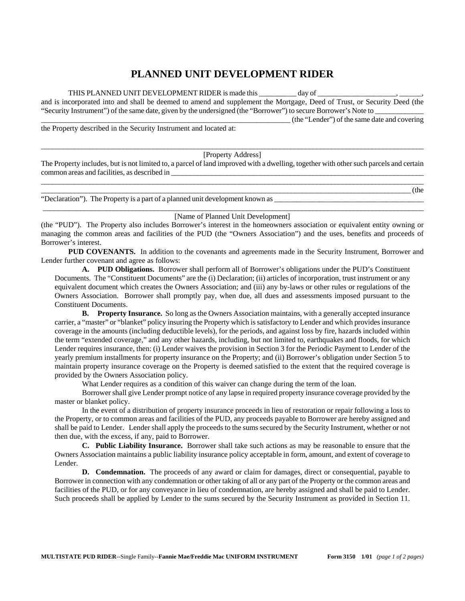## **PLANNED UNIT DEVELOPMENT RIDER**

THIS PLANNED UNIT DEVELOPMENT RIDER is made this  $\qquad \qquad \text{day of}$ and is incorporated into and shall be deemed to amend and supplement the Mortgage, Deed of Trust, or Security Deed (the "Security Instrument") of the same date, given by the undersigned (the "Borrower") to secure Borrower's Note to \_\_\_\_\_\_\_\_\_\_\_\_\_

\_\_\_\_\_\_\_\_\_\_\_\_\_\_\_\_\_\_\_\_\_\_\_\_\_\_\_\_\_\_\_\_\_\_\_\_\_\_\_\_\_\_\_\_\_\_\_\_\_\_\_\_\_\_\_\_\_\_\_\_\_\_\_\_\_\_ (the "Lender") of the same date and covering the Property described in the Security Instrument and located at:

\_\_\_\_\_\_\_\_\_\_\_\_\_\_\_\_\_\_\_\_\_\_\_\_\_\_\_\_\_\_\_\_\_\_\_\_\_\_\_\_\_\_\_\_\_\_\_\_\_\_\_\_\_\_\_\_\_\_\_\_\_\_\_\_\_\_\_\_\_\_\_\_\_\_\_\_\_\_\_\_\_\_\_\_\_\_\_\_\_\_\_\_\_\_\_\_\_\_\_\_\_\_\_

## [Property Address]

The Property includes, but is not limited to, a parcel of land improved with a dwelling, together with other such parcels and certain common areas and facilities, as described in  $\_$  ,  $\_$  ,  $\_$  ,  $\_$  ,  $\_$  ,  $\_$  ,  $\_$  ,  $\_$  ,  $\_$  ,  $\_$  ,  $\_$  ,  $\_$  ,  $\_$  ,  $\_$  ,  $\_$  ,  $\_$  ,  $\_$  ,  $\_$  ,  $\_$  ,  $\_$  ,  $\_$  ,  $\_$  ,  $\_$  ,  $\_$  ,  $\_$  ,  $\_$  ,  $\_$  ,  $\_$  ,  $\_$  ,  $\_$  ,  $\_$  ,  $\_$  ,  $\_$  ,  $\_$  ,  $\_$  ,  $\_$  ,  $\_$  ,

"Declaration"). The Property is a part of a planned unit development known as \_\_\_\_\_\_\_\_\_\_\_\_\_\_\_\_\_\_\_\_\_\_\_\_\_\_\_\_\_\_\_\_\_\_\_\_\_\_\_\_

 $\Box$  (the

## \_\_\_\_\_\_\_\_\_\_\_\_\_\_\_\_\_\_\_\_\_\_\_\_\_\_\_\_\_\_\_\_\_\_\_\_\_\_\_\_\_\_\_\_\_\_\_\_\_\_\_\_\_\_\_\_\_\_\_\_\_\_\_\_\_\_\_\_\_\_\_\_\_\_\_\_\_\_\_\_\_\_\_\_\_\_\_\_\_\_\_\_\_\_\_\_\_\_\_\_\_\_\_ [Name of Planned Unit Development]

(the "PUD"). The Property also includes Borrower's interest in the homeowners association or equivalent entity owning or managing the common areas and facilities of the PUD (the "Owners Association") and the uses, benefits and proceeds of Borrower's interest.

**PUD COVENANTS.** In addition to the covenants and agreements made in the Security Instrument, Borrower and Lender further covenant and agree as follows:

**A. PUD Obligations.** Borrower shall perform all of Borrower's obligations under the PUD's Constituent Documents. The "Constituent Documents" are the (i) Declaration; (ii) articles of incorporation, trust instrument or any equivalent document which creates the Owners Association; and (iii) any by-laws or other rules or regulations of the Owners Association. Borrower shall promptly pay, when due, all dues and assessments imposed pursuant to the Constituent Documents.

**B. Property Insurance.** So long as the Owners Association maintains, with a generally accepted insurance carrier, a "master" or "blanket" policy insuring the Property which is satisfactory to Lender and which provides insurance coverage in the amounts (including deductible levels), for the periods, and against loss by fire, hazards included within the term "extended coverage," and any other hazards, including, but not limited to, earthquakes and floods, for which Lender requires insurance, then: (i) Lender waives the provision in Section 3 for the Periodic Payment to Lender of the yearly premium installments for property insurance on the Property; and (ii) Borrower's obligation under Section 5 to maintain property insurance coverage on the Property is deemed satisfied to the extent that the required coverage is provided by the Owners Association policy.

What Lender requires as a condition of this waiver can change during the term of the loan.

Borrower shall give Lender prompt notice of any lapse in required property insurance coverage provided by the master or blanket policy.

In the event of a distribution of property insurance proceeds in lieu of restoration or repair following a loss to the Property, or to common areas and facilities of the PUD, any proceeds payable to Borrower are hereby assigned and shall be paid to Lender. Lender shall apply the proceeds to the sums secured by the Security Instrument, whether or not then due, with the excess, if any, paid to Borrower.

**C. Public Liability Insurance.** Borrower shall take such actions as may be reasonable to ensure that the Owners Association maintains a public liability insurance policy acceptable in form, amount, and extent of coverage to Lender.

**D. Condemnation.** The proceeds of any award or claim for damages, direct or consequential, payable to Borrower in connection with any condemnation or other taking of all or any part of the Property or the common areas and facilities of the PUD, or for any conveyance in lieu of condemnation, are hereby assigned and shall be paid to Lender. Such proceeds shall be applied by Lender to the sums secured by the Security Instrument as provided in Section 11.